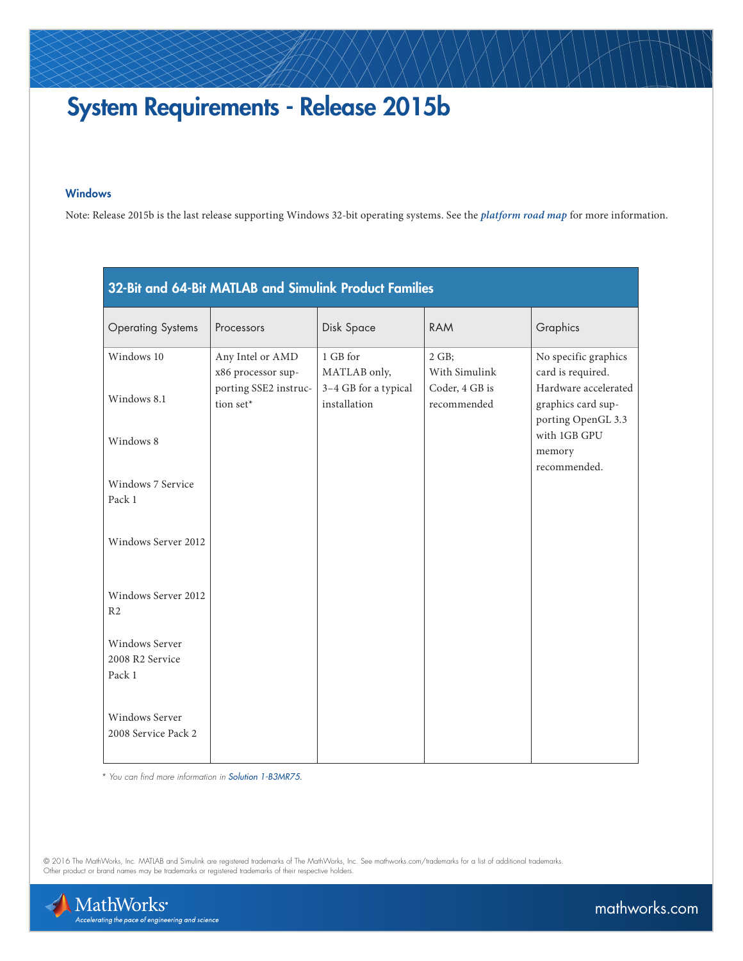## System Requirements - Release 2015b

## **Windows**

Note: Release 2015b is the last release supporting Windows 32-bit operating systems. See the *[platform road map](http://www.mathworks.com/support/sysreq/roadmap.html)* for more information.

| 32-Bit and 64-Bit MATLAB and Simulink Product Families |                                        |                                      |                               |                                                                  |
|--------------------------------------------------------|----------------------------------------|--------------------------------------|-------------------------------|------------------------------------------------------------------|
| <b>Operating Systems</b>                               | Processors                             | Disk Space                           | <b>RAM</b>                    | Graphics                                                         |
| Windows 10                                             | Any Intel or AMD<br>x86 processor sup- | 1 GB for<br>MATLAB only,             | 2 GB;<br>With Simulink        | No specific graphics<br>card is required.                        |
| Windows 8.1                                            | porting SSE2 instruc-<br>tion set*     | 3-4 GB for a typical<br>installation | Coder, 4 GB is<br>recommended | Hardware accelerated<br>graphics card sup-<br>porting OpenGL 3.3 |
| Windows 8                                              |                                        |                                      |                               | with 1GB GPU<br>memory                                           |
| Windows 7 Service<br>Pack 1                            |                                        |                                      |                               | recommended.                                                     |
| Windows Server 2012                                    |                                        |                                      |                               |                                                                  |
| Windows Server 2012<br>R <sub>2</sub>                  |                                        |                                      |                               |                                                                  |
| <b>Windows Server</b><br>2008 R2 Service<br>Pack 1     |                                        |                                      |                               |                                                                  |
| <b>Windows Server</b><br>2008 Service Pack 2           |                                        |                                      |                               |                                                                  |

 *\* You can find more information in [Solution 1-B3MR75.](http://www.mathworks.com/matlabcentral/answers/93455-what-is-the-sse2-instruction-set-how-can-i-check-to-see-if-my-processor-supports-it)*

© 2016 The MathWorks, Inc. MATLAB and Simulink are registered trademarks of The MathWorks, Inc. See [mathworks.com/trademarks](http://www.mathworks.com/trademarks) for a list of additional trademarks.<br>Other product or brand names may be trademarks or registered



[mathworks.com](http://www.mathworks.com)